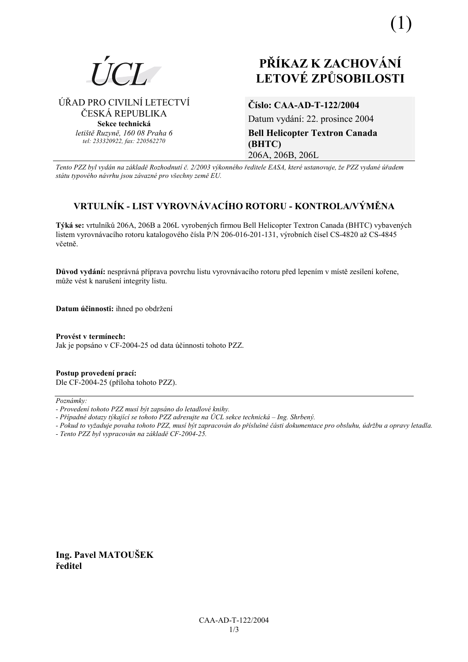

# PŘÍKAZ K ZACHOVÁNÍ **LETOVÉ ZPŮSOBILOSTI**

ÚŘAD PRO CIVILNÍ LETECTVÍ ČESKÁ REPUBLIKA Sekce technická letiště Ruzvně, 160 08 Praha 6 tel: 233320922, fax: 220562270

### Číslo: CAA-AD-T-122/2004

Datum vydání: 22. prosince 2004 **Bell Helicopter Textron Canada** (BHTC) 206A, 206B, 206L

Tento PZZ byl vydán na základě Rozhodnutí č. 2/2003 výkonného ředitele EASA, které ustanovuje, že PZZ vydané úřadem státu typového návrhu jsou závazné pro všechny země EU.

## VRTULNÍK - LIST VYROVNÁVACÍHO ROTORU - KONTROLA/VÝMĚNA

Týká se: vrtulníků 206A, 206B a 206L vyrobených firmou Bell Helicopter Textron Canada (BHTC) vybavených listem vyrovnávacího rotoru katalogového čísla P/N 206-016-201-131, výrobních čísel CS-4820 až CS-4845 včetně.

Důvod vydání: nesprávná příprava povrchu listu vyrovnávacího rotoru před lepením v místě zesílení kořene. může vést k narušení integrity listu.

Datum účinnosti: ihned po obdržení

Provést v termínech: Jak je popsáno v CF-2004-25 od data účinnosti tohoto PZZ.

Postup provedení prací: Dle CF-2004-25 (příloha tohoto PZZ).

Poznámky:

Ing. Pavel MATOUŠEK ředitel

<sup>-</sup> Provedení tohoto PZZ musí být zapsáno do letadlové knihy.

<sup>-</sup> Případné dotazy týkající se tohoto PZZ adresujte na ÚCL sekce technická – Ing. Shrbený.

<sup>-</sup> Pokud to vyžaduje povaha tohoto PZZ, musí být zapracován do příslušné části dokumentace pro obsluhu, údržbu a opravy letadla.

<sup>-</sup> Tento PZZ byl vypracován na základě CF-2004-25.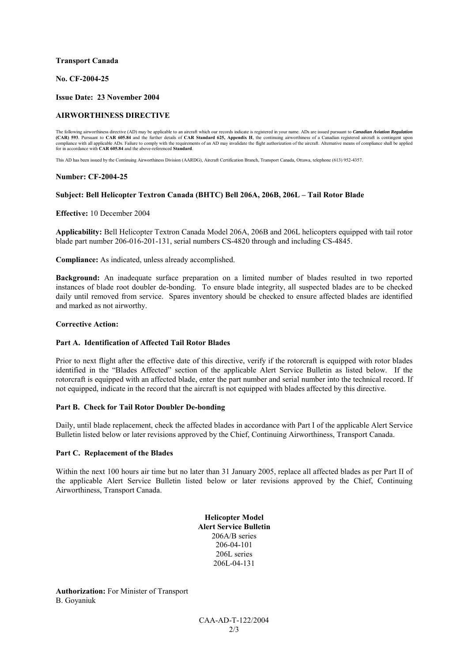#### **Transport Canada**

#### **No. CF-2004-25**

#### **Issue Date: 23 November 2004**

#### **AIRWORTHINESS DIRECTIVE**

The following airworthiness directive (AD) may be applicable to an aircraft which our records indicate is registered in your name. ADs are issued pursuant to Canadian Aviation Regulation<br>(CAR) 593. Pursuant to CAR 605.84 a for in accordance with **CAR 605.84** and the above-referenced **Standard**.

This AD has been issued by the Continuing Airworthiness Division (AARDG), Aircraft Certification Branch, Transport Canada, Ottawa, telephone (613) 952-4357.

#### **Number: CF-2004-25**

#### Subject: Bell Helicopter Textron Canada (BHTC) Bell 206A, 206B, 206L - Tail Rotor Blade

**Effective:** 10 December 2004

**Applicability:** Bell Helicopter Textron Canada Model 206A, 206B and 206L helicopters equipped with tail rotor blade part number 206-016-201-131, serial numbers CS-4820 through and including CS-4845.

**Compliance:** As indicated, unless already accomplished.

**Background:** An inadequate surface preparation on a limited number of blades resulted in two reported instances of blade root doubler de-bonding. To ensure blade integrity, all suspected blades are to be checked daily until removed from service. Spares inventory should be checked to ensure affected blades are identified and marked as not airworthy.

#### **Corrective Action:**

#### **Part A. Identification of Affected Tail Rotor Blades**

Prior to next flight after the effective date of this directive, verify if the rotorcraft is equipped with rotor blades identified in the "Blades Affected" section of the applicable Alert Service Bulletin as listed below. If the rotorcraft is equipped with an affected blade, enter the part number and serial number into the technical record. If not equipped, indicate in the record that the aircraft is not equipped with blades affected by this directive.

#### **Part B. Check for Tail Rotor Doubler De-bonding**

Daily, until blade replacement, check the affected blades in accordance with Part I of the applicable Alert Service Bulletin listed below or later revisions approved by the Chief, Continuing Airworthiness, Transport Canada.

#### **Part C. Replacement of the Blades**

Within the next 100 hours air time but no later than 31 January 2005, replace all affected blades as per Part II of the applicable Alert Service Bulletin listed below or later revisions approved by the Chief, Continuing Airworthiness, Transport Canada.

> **Helicopter Model Alert Service Bulletin**  206A/B series 206-04-101 206L series 206L-04-131

**Authorization:** For Minister of Transport B. Goyaniuk